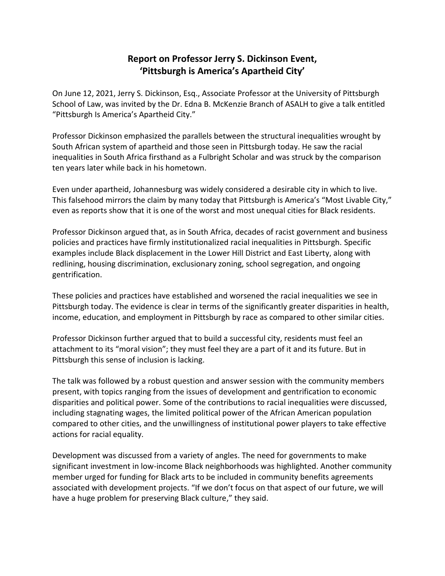## **Report on Professor Jerry S. Dickinson Event, 'Pittsburgh is America's Apartheid City'**

On June 12, 2021, Jerry S. Dickinson, Esq., Associate Professor at the University of Pittsburgh School of Law, was invited by the Dr. Edna B. McKenzie Branch of ASALH to give a talk entitled "Pittsburgh Is America's Apartheid City."

Professor Dickinson emphasized the parallels between the structural inequalities wrought by South African system of apartheid and those seen in Pittsburgh today. He saw the racial inequalities in South Africa firsthand as a Fulbright Scholar and was struck by the comparison ten years later while back in his hometown.

Even under apartheid, Johannesburg was widely considered a desirable city in which to live. This falsehood mirrors the claim by many today that Pittsburgh is America's "Most Livable City," even as reports show that it is one of the worst and most unequal cities for Black residents.

Professor Dickinson argued that, as in South Africa, decades of racist government and business policies and practices have firmly institutionalized racial inequalities in Pittsburgh. Specific examples include Black displacement in the Lower Hill District and East Liberty, along with redlining, housing discrimination, exclusionary zoning, school segregation, and ongoing gentrification.

These policies and practices have established and worsened the racial inequalities we see in Pittsburgh today. The evidence is clear in terms of the significantly greater disparities in health, income, education, and employment in Pittsburgh by race as compared to other similar cities.

Professor Dickinson further argued that to build a successful city, residents must feel an attachment to its "moral vision"; they must feel they are a part of it and its future. But in Pittsburgh this sense of inclusion is lacking.

The talk was followed by a robust question and answer session with the community members present, with topics ranging from the issues of development and gentrification to economic disparities and political power. Some of the contributions to racial inequalities were discussed, including stagnating wages, the limited political power of the African American population compared to other cities, and the unwillingness of institutional power players to take effective actions for racial equality.

Development was discussed from a variety of angles. The need for governments to make significant investment in low-income Black neighborhoods was highlighted. Another community member urged for funding for Black arts to be included in community benefits agreements associated with development projects. "If we don't focus on that aspect of our future, we will have a huge problem for preserving Black culture," they said.